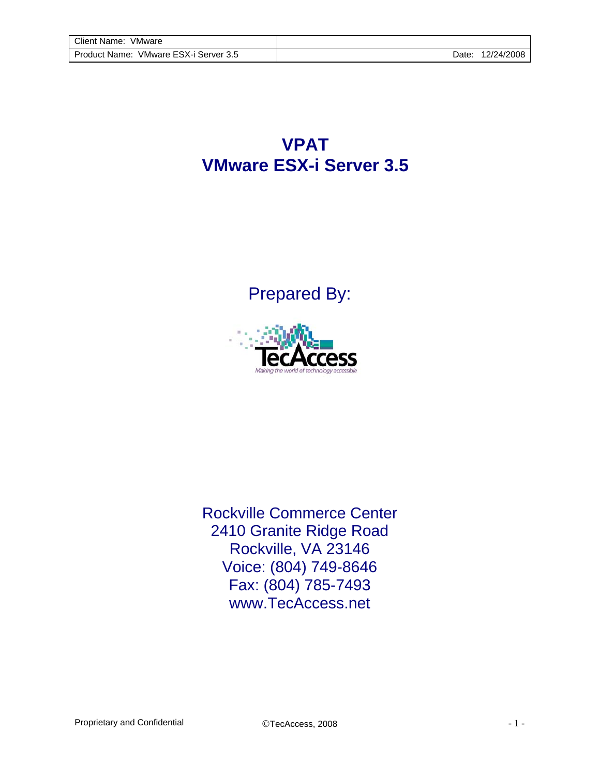**VPAT VMware ESX-i Server 3.5**

Prepared By:



Rockville Commerce Center 2410 Granite Ridge Road Rockville, VA 23146 Voice: (804) 749-8646 Fax: (804) 785-7493 www.TecAccess.net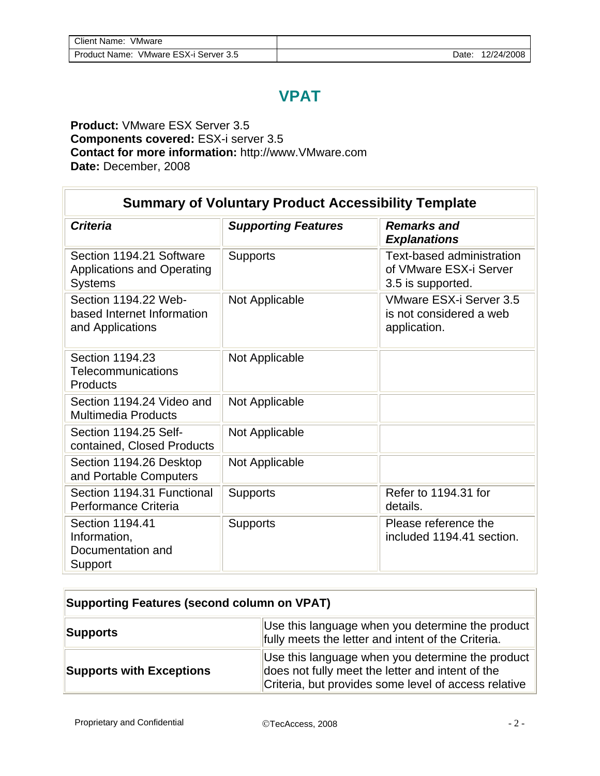## **VPAT**

## **Product:** VMware ESX Server 3.5 **Components covered:** ESX-i server 3.5 **Contact for more information:** http://www.VMware.com **Date:** December, 2008

| <b>Summary of Voluntary Product Accessibility Template</b>                      |                            |                                                                          |  |  |  |
|---------------------------------------------------------------------------------|----------------------------|--------------------------------------------------------------------------|--|--|--|
| <b>Criteria</b>                                                                 | <b>Supporting Features</b> | <b>Remarks and</b><br><b>Explanations</b>                                |  |  |  |
| Section 1194.21 Software<br><b>Applications and Operating</b><br><b>Systems</b> | <b>Supports</b>            | Text-based administration<br>of VMware ESX-i Server<br>3.5 is supported. |  |  |  |
| Section 1194.22 Web-<br>based Internet Information<br>and Applications          | Not Applicable             | VMware ESX-i Server 3.5<br>is not considered a web<br>application.       |  |  |  |
| Section 1194.23<br>Telecommunications<br>Products                               | Not Applicable             |                                                                          |  |  |  |
| Section 1194.24 Video and<br><b>Multimedia Products</b>                         | Not Applicable             |                                                                          |  |  |  |
| Section 1194.25 Self-<br>contained, Closed Products                             | Not Applicable             |                                                                          |  |  |  |
| Section 1194.26 Desktop<br>and Portable Computers                               | Not Applicable             |                                                                          |  |  |  |
| Section 1194.31 Functional<br>Performance Criteria                              | <b>Supports</b>            | Refer to 1194.31 for<br>details.                                         |  |  |  |
| Section 1194.41<br>Information,<br>Documentation and<br>Support                 | <b>Supports</b>            | Please reference the<br>included 1194.41 section.                        |  |  |  |

| <b>Supporting Features (second column on VPAT)</b>                                                                        |                                                                                                                                                              |  |  |  |
|---------------------------------------------------------------------------------------------------------------------------|--------------------------------------------------------------------------------------------------------------------------------------------------------------|--|--|--|
| Use this language when you determine the product<br><b>Supports</b><br>fully meets the letter and intent of the Criteria. |                                                                                                                                                              |  |  |  |
| <b>Supports with Exceptions</b>                                                                                           | Use this language when you determine the product<br>does not fully meet the letter and intent of the<br>Criteria, but provides some level of access relative |  |  |  |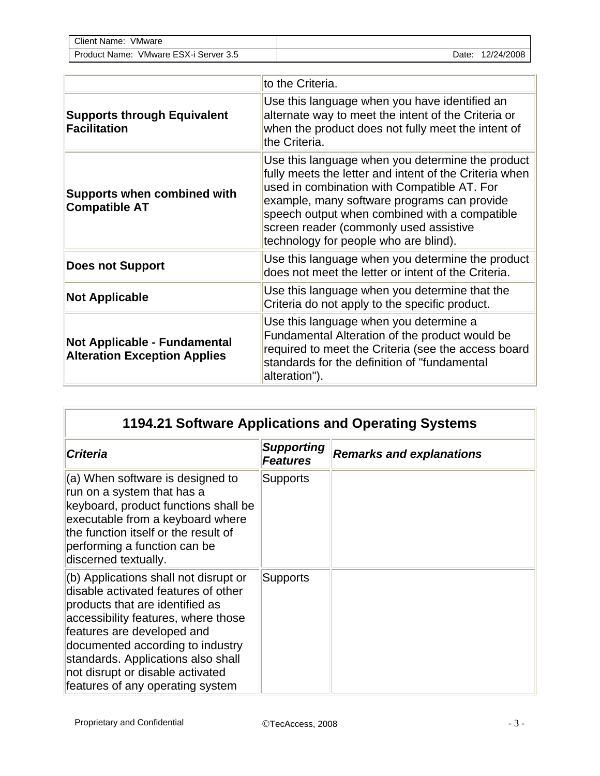| Client Name:<br>VMware                   |       |            |
|------------------------------------------|-------|------------|
| VMware ESX-i Server 3.5<br>Product Name: | Date: | 12/24/2008 |

|                                                                            | to the Criteria.                                                                                                                                                                                                                                                                                                                             |
|----------------------------------------------------------------------------|----------------------------------------------------------------------------------------------------------------------------------------------------------------------------------------------------------------------------------------------------------------------------------------------------------------------------------------------|
| <b>Supports through Equivalent</b><br><b>Facilitation</b>                  | Use this language when you have identified an<br>alternate way to meet the intent of the Criteria or<br>when the product does not fully meet the intent of<br>the Criteria.                                                                                                                                                                  |
| <b>Supports when combined with</b><br><b>Compatible AT</b>                 | Use this language when you determine the product<br>fully meets the letter and intent of the Criteria when<br>used in combination with Compatible AT. For<br>example, many software programs can provide<br>speech output when combined with a compatible<br>screen reader (commonly used assistive<br>technology for people who are blind). |
| <b>Does not Support</b>                                                    | Use this language when you determine the product<br>does not meet the letter or intent of the Criteria.                                                                                                                                                                                                                                      |
| <b>Not Applicable</b>                                                      | Use this language when you determine that the<br>Criteria do not apply to the specific product.                                                                                                                                                                                                                                              |
| <b>Not Applicable - Fundamental</b><br><b>Alteration Exception Applies</b> | Use this language when you determine a<br>Fundamental Alteration of the product would be<br>required to meet the Criteria (see the access board<br>standards for the definition of "fundamental<br>alteration").                                                                                                                             |

| 1194.21 Software Applications and Operating Systems                                                                                                                                                                                                                                                                                    |                                      |                                 |  |  |
|----------------------------------------------------------------------------------------------------------------------------------------------------------------------------------------------------------------------------------------------------------------------------------------------------------------------------------------|--------------------------------------|---------------------------------|--|--|
| <b>Criteria</b>                                                                                                                                                                                                                                                                                                                        | <b>Supporting</b><br><b>Features</b> | <b>Remarks and explanations</b> |  |  |
| (a) When software is designed to<br>run on a system that has a<br>keyboard, product functions shall be<br>executable from a keyboard where<br>the function itself or the result of<br>performing a function can be<br>discerned textually.                                                                                             | <b>Supports</b>                      |                                 |  |  |
| (b) Applications shall not disrupt or<br>disable activated features of other<br>products that are identified as<br>accessibility features, where those<br>features are developed and<br>documented according to industry<br>standards. Applications also shall<br>not disrupt or disable activated<br>features of any operating system | <b>Supports</b>                      |                                 |  |  |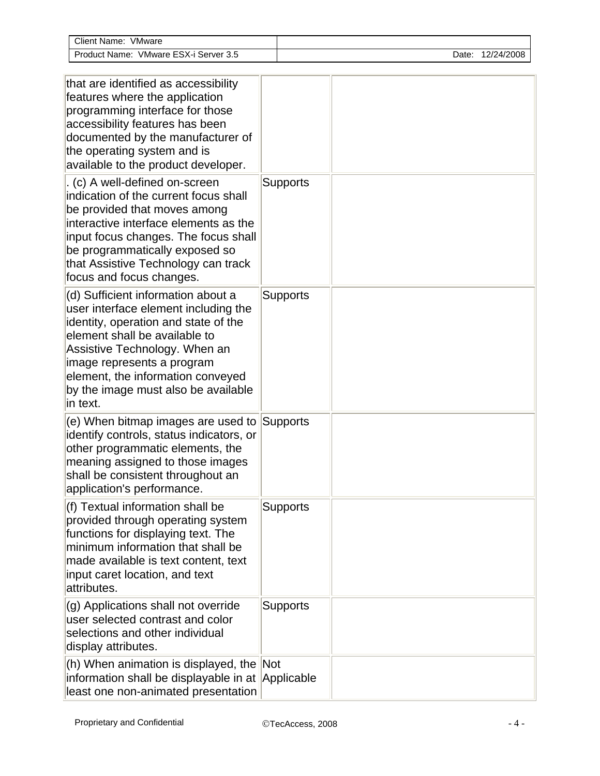| Client Name: VMware                                                                                                                                                                                                                                                                                        |                 |  |  |  |                  |
|------------------------------------------------------------------------------------------------------------------------------------------------------------------------------------------------------------------------------------------------------------------------------------------------------------|-----------------|--|--|--|------------------|
| Product Name: VMware ESX-i Server 3.5                                                                                                                                                                                                                                                                      |                 |  |  |  | Date: 12/24/2008 |
|                                                                                                                                                                                                                                                                                                            |                 |  |  |  |                  |
| that are identified as accessibility<br>features where the application<br>programming interface for those<br>accessibility features has been<br>documented by the manufacturer of<br>the operating system and is<br>available to the product developer.                                                    |                 |  |  |  |                  |
| . (c) A well-defined on-screen<br>indication of the current focus shall<br>be provided that moves among<br>interactive interface elements as the<br>input focus changes. The focus shall<br>be programmatically exposed so<br>that Assistive Technology can track<br>focus and focus changes.              | <b>Supports</b> |  |  |  |                  |
| (d) Sufficient information about a<br>user interface element including the<br>identity, operation and state of the<br>element shall be available to<br>Assistive Technology. When an<br>image represents a program<br>element, the information conveyed<br>by the image must also be available<br>in text. | <b>Supports</b> |  |  |  |                  |
| (e) When bitmap images are used to Supports<br>identify controls, status indicators, or<br>other programmatic elements, the<br>meaning assigned to those images<br>shall be consistent throughout an<br>application's performance.                                                                         |                 |  |  |  |                  |
| (f) Textual information shall be<br>provided through operating system<br>functions for displaying text. The<br>minimum information that shall be<br>made available is text content, text<br>input caret location, and text<br>attributes.                                                                  | <b>Supports</b> |  |  |  |                  |
| (g) Applications shall not override<br>user selected contrast and color<br>selections and other individual<br>display attributes.                                                                                                                                                                          | <b>Supports</b> |  |  |  |                  |
| (h) When animation is displayed, the Not<br>information shall be displayable in at Applicable<br>least one non-animated presentation                                                                                                                                                                       |                 |  |  |  |                  |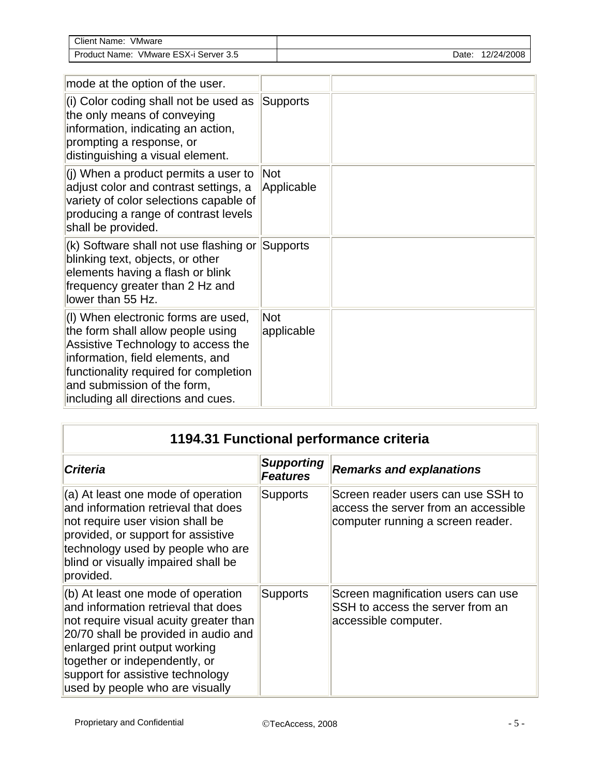| Client Name:<br>VMware                                |      |            |
|-------------------------------------------------------|------|------------|
| ESX-i<br>VMware<br>Server 3.5<br><b>Product Name:</b> | Date | 12/24/2008 |

| mode at the option of the user.                                                                                                                                                                                                                                  |                          |  |
|------------------------------------------------------------------------------------------------------------------------------------------------------------------------------------------------------------------------------------------------------------------|--------------------------|--|
| (i) Color coding shall not be used as<br>the only means of conveying<br>information, indicating an action,<br>prompting a response, or<br>distinguishing a visual element.                                                                                       | Supports                 |  |
| (i) When a product permits a user to<br>adjust color and contrast settings, a<br>variety of color selections capable of<br>producing a range of contrast levels<br>shall be provided.                                                                            | Not<br>Applicable        |  |
| (k) Software shall not use flashing or Supports<br>blinking text, objects, or other<br>elements having a flash or blink<br>frequency greater than 2 Hz and<br>lower than 55 Hz.                                                                                  |                          |  |
| (I) When electronic forms are used,<br>the form shall allow people using<br>Assistive Technology to access the<br>information, field elements, and<br>functionality required for completion<br>and submission of the form,<br>including all directions and cues. | <b>Not</b><br>applicable |  |

| 1194.31 Functional performance criteria                                                                                                                                                                                                                                                              |                                      |                                                                                                                 |  |  |
|------------------------------------------------------------------------------------------------------------------------------------------------------------------------------------------------------------------------------------------------------------------------------------------------------|--------------------------------------|-----------------------------------------------------------------------------------------------------------------|--|--|
| <b>Criteria</b>                                                                                                                                                                                                                                                                                      | <b>Supporting</b><br><b>Features</b> | <b>Remarks and explanations</b>                                                                                 |  |  |
| (a) At least one mode of operation<br>and information retrieval that does<br>not require user vision shall be<br>provided, or support for assistive<br>technology used by people who are<br>blind or visually impaired shall be<br>provided.                                                         | <b>Supports</b>                      | Screen reader users can use SSH to<br>access the server from an accessible<br>computer running a screen reader. |  |  |
| (b) At least one mode of operation<br>and information retrieval that does<br>not require visual acuity greater than<br>20/70 shall be provided in audio and<br>enlarged print output working<br>together or independently, or<br>support for assistive technology<br>used by people who are visually | <b>Supports</b>                      | Screen magnification users can use<br>SSH to access the server from an<br>accessible computer.                  |  |  |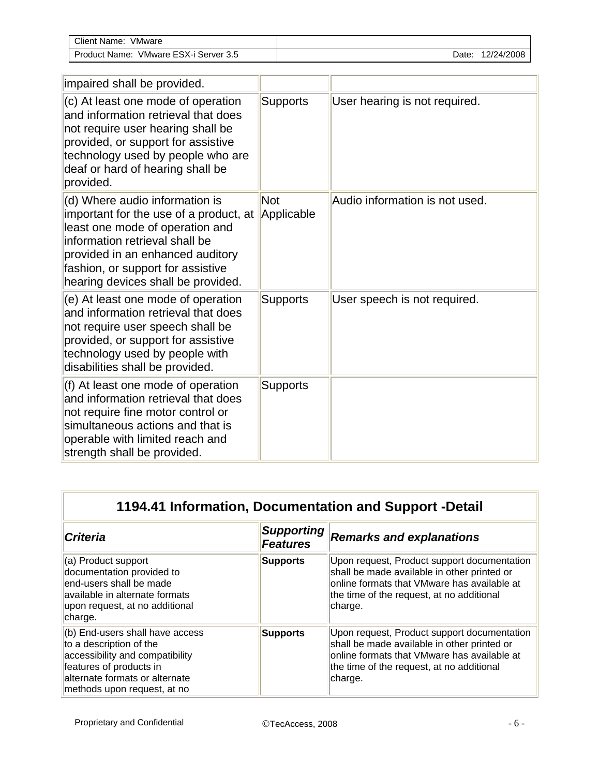| <b>Client Name:</b><br>VMware                           |      |            |
|---------------------------------------------------------|------|------------|
| . ESX-i<br><b>Product Name:</b><br>Server 3.5<br>VMware | Date | 12/24/2008 |

| impaired shall be provided.                                                                                                                                                                                                                                  |                          |                                |
|--------------------------------------------------------------------------------------------------------------------------------------------------------------------------------------------------------------------------------------------------------------|--------------------------|--------------------------------|
| (c) At least one mode of operation<br>and information retrieval that does<br>not require user hearing shall be<br>provided, or support for assistive<br>technology used by people who are<br>deaf or hard of hearing shall be<br>provided.                   | <b>Supports</b>          | User hearing is not required.  |
| (d) Where audio information is<br>important for the use of a product, at<br>least one mode of operation and<br>information retrieval shall be<br>provided in an enhanced auditory<br>fashion, or support for assistive<br>hearing devices shall be provided. | <b>Not</b><br>Applicable | Audio information is not used. |
| (e) At least one mode of operation<br>and information retrieval that does<br>not require user speech shall be<br>provided, or support for assistive<br>technology used by people with<br>disabilities shall be provided.                                     | <b>Supports</b>          | User speech is not required.   |
| (f) At least one mode of operation<br>and information retrieval that does<br>not require fine motor control or<br>simultaneous actions and that is<br>operable with limited reach and<br>strength shall be provided.                                         | <b>Supports</b>          |                                |

| 1194.41 Information, Documentation and Support -Detail                                                                                                                                    |                                      |                                                                                                                                                                                                   |  |
|-------------------------------------------------------------------------------------------------------------------------------------------------------------------------------------------|--------------------------------------|---------------------------------------------------------------------------------------------------------------------------------------------------------------------------------------------------|--|
| <b>Criteria</b>                                                                                                                                                                           | <b>Supporting</b><br><b>Features</b> | <b>Remarks and explanations</b>                                                                                                                                                                   |  |
| (a) Product support<br>documentation provided to<br>end-users shall be made<br>available in alternate formats<br>upon request, at no additional<br>charge.                                | <b>Supports</b>                      | Upon request, Product support documentation<br>shall be made available in other printed or<br>online formats that VMware has available at<br>the time of the request, at no additional<br>charge. |  |
| (b) End-users shall have access<br>to a description of the<br>accessibility and compatibility<br>features of products in<br>alternate formats or alternate<br>methods upon request, at no | <b>Supports</b>                      | Upon request, Product support documentation<br>shall be made available in other printed or<br>online formats that VMware has available at<br>the time of the request, at no additional<br>charge. |  |

 $\overline{\Gamma}$